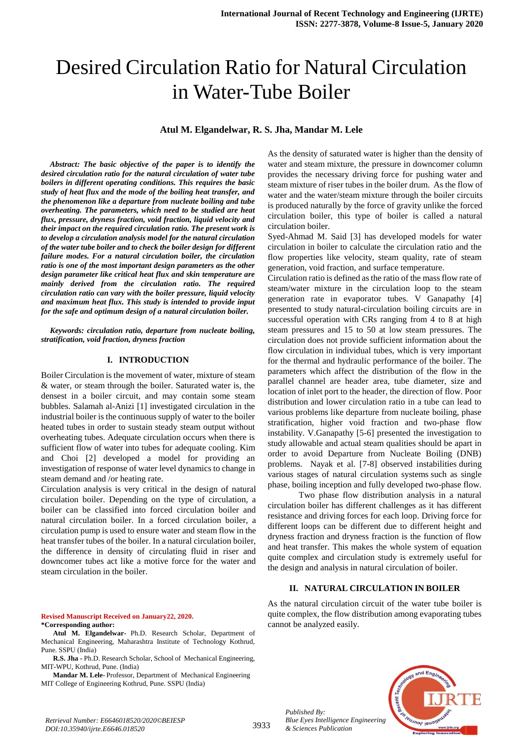# Desired Circulation Ratio for Natural Circulation in Water-Tube Boiler

## **Atul M. Elgandelwar, R. S. Jha, Mandar M. Lele**

*Abstract: The basic objective of the paper is to identify the desired circulation ratio for the natural circulation of water tube boilers in different operating conditions. This requires the basic study of heat flux and the mode of the boiling heat transfer, and the phenomenon like a departure from nucleate boiling and tube overheating. The parameters, which need to be studied are heat flux, pressure, dryness fraction, void fraction, liquid velocity and their impact on the required circulation ratio. The present work is to develop a circulation analysis model for the natural circulation of the water tube boiler and to check the boiler design for different failure modes. For a natural circulation boiler, the circulation ratio is one of the most important design parameters as the other design parameter like critical heat flux and skin temperature are mainly derived from the circulation ratio. The required circulation ratio can vary with the boiler pressure, liquid velocity and maximum heat flux. This study is intended to provide input for the safe and optimum design of a natural circulation boiler.*

*Keywords: circulation ratio, departure from nucleate boiling, stratification, void fraction, dryness fraction*

#### **I. INTRODUCTION**

Boiler Circulation is the movement of water, mixture of steam & water, or steam through the boiler. Saturated water is, the densest in a boiler circuit, and may contain some steam bubbles. Salamah al-Anizi [1] investigated circulation in the industrial boiler is the continuous supply of water to the boiler heated tubes in order to sustain steady steam output without overheating tubes. Adequate circulation occurs when there is sufficient flow of water into tubes for adequate cooling. Kim and Choi [2] developed a model for providing an investigation of response of water level dynamics to change in steam demand and /or heating rate.

Circulation analysis is very critical in the design of natural circulation boiler. Depending on the type of circulation, a boiler can be classified into forced circulation boiler and natural circulation boiler. In a forced circulation boiler, a circulation pump is used to ensure water and steam flow in the heat transfer tubes of the boiler. In a natural circulation boiler, the difference in density of circulating fluid in riser and downcomer tubes act like a motive force for the water and steam circulation in the boiler.

**Revised Manuscript Received on January22, 2020. \*Corresponding author:** 

**Atul M. Elgandelwar-** Ph.D. Research Scholar, Department of Mechanical Engineering, Maharashtra Institute of Technology Kothrud, Pune. SSPU (India)

**R.S. Jha -** Ph.D. Research Scholar, School of Mechanical Engineering, MIT-WPU, Kothrud, Pune. (India)

**Mandar M. Lele-** Professor, Department of Mechanical Engineering MIT College of Engineering Kothrud, Pune. SSPU (India)

As the density of saturated water is higher than the density of water and steam mixture, the pressure in downcomer column provides the necessary driving force for pushing water and steam mixture of riser tubes in the boiler drum. As the flow of water and the water/steam mixture through the boiler circuits is produced naturally by the force of gravity unlike the forced circulation boiler, this type of boiler is called a natural circulation boiler.

Syed-Ahmad M. Said [3] has developed models for water circulation in boiler to calculate the circulation ratio and the flow properties like velocity, steam quality, rate of steam generation, void fraction, and surface temperature.

Circulation ratio is defined as the ratio of the mass flow rate of steam/water mixture in the circulation loop to the steam generation rate in evaporator tubes. V Ganapathy [4] presented to study natural-circulation boiling circuits are in successful operation with CRs ranging from 4 to 8 at high steam pressures and 15 to 50 at low steam pressures. The circulation does not provide sufficient information about the flow circulation in individual tubes, which is very important for the thermal and hydraulic performance of the boiler. The parameters which affect the distribution of the flow in the parallel channel are header area, tube diameter, size and location of inlet port to the header, the direction of flow. Poor distribution and lower circulation ratio in a tube can lead to various problems like departure from nucleate boiling, phase stratification, higher void fraction and two-phase flow instability. V.Ganapathy [5-6] presented the investigation to study allowable and actual steam qualities should be apart in order to avoid Departure from Nucleate Boiling (DNB) problems. Nayak et al. [7-8] observed instabilities during various stages of natural circulation systems such as single phase, boiling inception and fully developed two-phase flow.

Two phase flow distribution analysis in a natural circulation boiler has different challenges as it has different resistance and driving forces for each loop. Driving force for different loops can be different due to different height and dryness fraction and dryness fraction is the function of flow and heat transfer. This makes the whole system of equation quite complex and circulation study is extremely useful for the design and analysis in natural circulation of boiler.

## **II. NATURAL CIRCULATION IN BOILER**

As the natural circulation circuit of the water tube boiler is quite complex, the flow distribution among evaporating tubes cannot be analyzed easily.



*Retrieval Number: E6646018520/2020©BEIESP DOI:10.35940/ijrte.E6646.018520*

*Published By:*

*& Sciences Publication*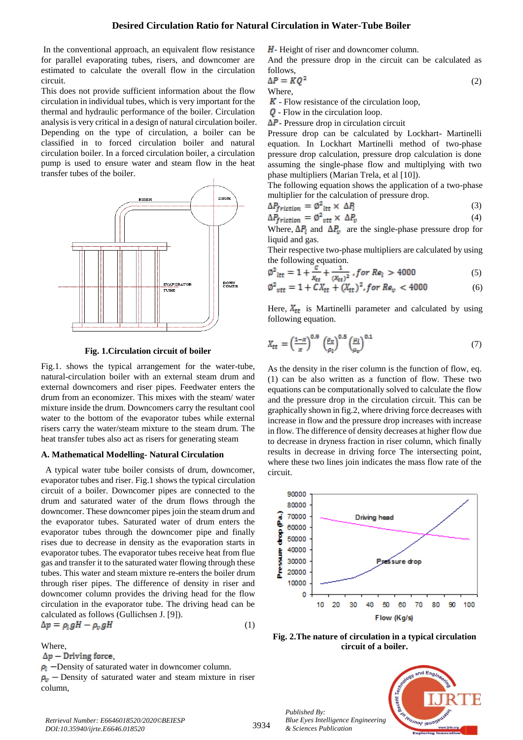In the conventional approach, an equivalent flow resistance for parallel evaporating tubes, risers, and downcomer are estimated to calculate the overall flow in the circulation circuit.

This does not provide sufficient information about the flow circulation in individual tubes, which is very important for the thermal and hydraulic performance of the boiler. Circulation analysis is very critical in a design of natural circulation boiler. Depending on the type of circulation, a boiler can be classified in to forced circulation boiler and natural circulation boiler. In a forced circulation boiler, a circulation pump is used to ensure water and steam flow in the heat transfer tubes of the boiler.



**Fig. 1.Circulation circuit of boiler**

Fig.1. shows the typical arrangement for the water-tube, natural-circulation boiler with an external steam drum and external downcomers and riser pipes. Feedwater enters the drum from an economizer. This mixes with the steam/ water mixture inside the drum. Downcomers carry the resultant cool water to the bottom of the evaporator tubes while external risers carry the water/steam mixture to the steam drum. The heat transfer tubes also act as risers for generating steam

# **A. Mathematical Modelling- Natural Circulation**

 A typical water tube boiler consists of drum, downcomer, evaporator tubes and riser. Fig.1 shows the typical circulation circuit of a boiler. Downcomer pipes are connected to the drum and saturated water of the drum flows through the downcomer. These downcomer pipes join the steam drum and the evaporator tubes. Saturated water of drum enters the evaporator tubes through the downcomer pipe and finally rises due to decrease in density as the evaporation starts in evaporator tubes. The evaporator tubes receive heat from flue gas and transfer it to the saturated water flowing through these tubes. This water and steam mixture re-enters the boiler drum through riser pipes. The difference of density in riser and downcomer column provides the driving head for the flow circulation in the evaporator tube. The driving head can be calculated as follows (Gullichsen J. [9]).

$$
\Delta p = \rho_l g H - \rho_v g H \tag{1}
$$

Where,  
\n
$$
\Delta p
$$
 – Driving force,

 $\rho_1$  -Density of saturated water in downcomer column.  $\rho_{\nu}$  – Density of saturated water and steam mixture in riser column,

 $H$ - Height of riser and downcomer column.

And the pressure drop in the circuit can be calculated as follows,

$$
\Delta P = KQ^2 \tag{2}
$$
  
Where,

 $K$  - Flow resistance of the circulation loop,

 $\overline{\mathsf{Q}}$  - Flow in the circulation loop.

 $\Delta P$ - Pressure drop in circulation circuit

Pressure drop can be calculated by Lockhart- Martinelli equation. In Lockhart Martinelli method of two-phase pressure drop calculation, pressure drop calculation is done assuming the single-phase flow and multiplying with two phase multipliers (Marian Trela, et al [10]).

The following equation shows the application of a two-phase multiplier for the calculation of pressure drop.

$$
\Delta P_{friction} = \phi^2_{\text{ltt}} \times \Delta P_{\text{l}} \tag{3}
$$

$$
\Delta P_{friction} = \phi^2_{\text{vtt}} \times \Delta P_v \tag{4}
$$

Where,  $\Delta P_1$  and  $\Delta P_v$  are the single-phase pressure drop for liquid and gas.

Their respective two-phase multipliers are calculated by using the following equation.

$$
\phi^2_{\text{it}} = 1 + \frac{c}{x_{\text{it}}} + \frac{1}{(x_{\text{it}})^2}, \text{for } Re_l > 4000 \tag{5}
$$

$$
\phi^2_{\text{ vtt}} = 1 + CX_{\text{tt}} + (X_{\text{tt}})^2, \text{for } Re_v < 4000 \tag{6}
$$

Here,  $X_{tt}$  is Martinelli parameter and calculated by using following equation.

$$
X_{tt} = \left(\frac{1-x}{x}\right)^{0.9} \left(\frac{\rho_v}{\rho_l}\right)^{0.5} \left(\frac{\mu_l}{\mu_v}\right)^{0.1} \tag{7}
$$

As the density in the riser column is the function of flow, eq. (1) can be also written as a function of flow. These two equations can be computationally solved to calculate the flow and the pressure drop in the circulation circuit. This can be graphically shown in fig.2, where driving force decreases with increase in flow and the pressure drop increases with increase in flow. The difference of density decreases at higher flow due to decrease in dryness fraction in riser column, which finally results in decrease in driving force The intersecting point, where these two lines join indicates the mass flow rate of the circuit.



**Fig. 2.The nature of circulation in a typical circulation circuit of a boiler.**

*Published By: Blue Eyes Intelligence Engineering & Sciences Publication* 

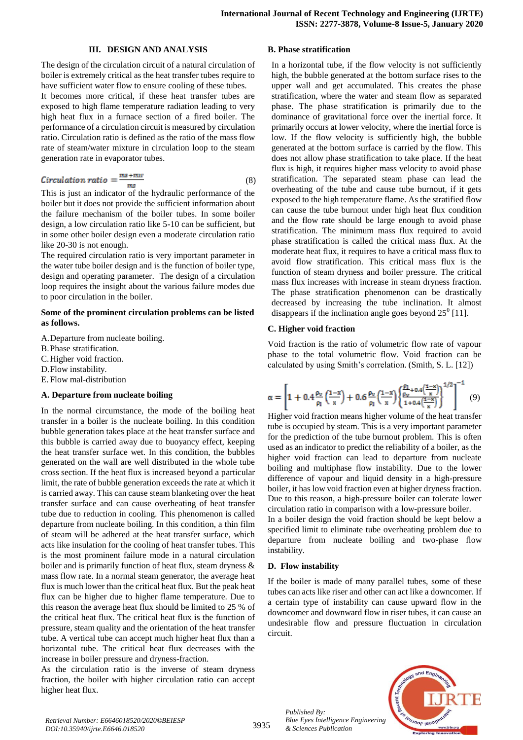#### **III. DESIGN AND ANALYSIS**

The design of the circulation circuit of a natural circulation of boiler is extremely critical as the heat transfer tubes require to have sufficient water flow to ensure cooling of these tubes.

It becomes more critical, if these heat transfer tubes are exposed to high flame temperature radiation leading to very high heat flux in a furnace section of a fired boiler. The performance of a circulation circuit is measured by circulation ratio. Circulation ratio is defined as the ratio of the mass flow rate of steam/water mixture in circulation loop to the steam generation rate in evaporator tubes.

$$
Circulation ratio = \frac{ms + mw}{ms}
$$
 (8)

This is just an indicator of the hydraulic performance of the boiler but it does not provide the sufficient information about the failure mechanism of the boiler tubes. In some boiler design, a low circulation ratio like 5-10 can be sufficient, but in some other boiler design even a moderate circulation ratio like 20-30 is not enough.

The required circulation ratio is very important parameter in the water tube boiler design and is the function of boiler type, design and operating parameter. The design of a circulation loop requires the insight about the various failure modes due to poor circulation in the boiler.

#### **Some of the prominent circulation problems can be listed as follows.**

- A.Departure from nucleate boiling.
- B.Phase stratification.
- C.Higher void fraction.
- D.Flow instability.
- E. Flow mal-distribution

#### **A. Departure from nucleate boiling**

In the normal circumstance, the mode of the boiling heat transfer in a boiler is the nucleate boiling. In this condition bubble generation takes place at the heat transfer surface and this bubble is carried away due to buoyancy effect, keeping the heat transfer surface wet. In this condition, the bubbles generated on the wall are well distributed in the whole tube cross section. If the heat flux is increased beyond a particular limit, the rate of bubble generation exceeds the rate at which it is carried away. This can cause steam blanketing over the heat transfer surface and can cause overheating of heat transfer tube due to reduction in cooling. This phenomenon is called departure from nucleate boiling. In this condition, a thin film of steam will be adhered at the heat transfer surface, which acts like insulation for the cooling of heat transfer tubes. This is the most prominent failure mode in a natural circulation boiler and is primarily function of heat flux, steam dryness & mass flow rate. In a normal steam generator, the average heat flux is much lower than the critical heat flux. But the peak heat flux can be higher due to higher flame temperature. Due to this reason the average heat flux should be limited to 25 % of the critical heat flux. The critical heat flux is the function of pressure, steam quality and the orientation of the heat transfer tube. A vertical tube can accept much higher heat flux than a horizontal tube. The critical heat flux decreases with the increase in boiler pressure and dryness-fraction.

As the circulation ratio is the inverse of steam dryness fraction, the boiler with higher circulation ratio can accept higher heat flux.

#### **B. Phase stratification**

In a horizontal tube, if the flow velocity is not sufficiently high, the bubble generated at the bottom surface rises to the upper wall and get accumulated. This creates the phase stratification, where the water and steam flow as separated phase. The phase stratification is primarily due to the dominance of gravitational force over the inertial force. It primarily occurs at lower velocity, where the inertial force is low. If the flow velocity is sufficiently high, the bubble generated at the bottom surface is carried by the flow. This does not allow phase stratification to take place. If the heat flux is high, it requires higher mass velocity to avoid phase stratification. The separated steam phase can lead the overheating of the tube and cause tube burnout, if it gets exposed to the high temperature flame. As the stratified flow can cause the tube burnout under high heat flux condition and the flow rate should be large enough to avoid phase stratification. The minimum mass flux required to avoid phase stratification is called the critical mass flux. At the moderate heat flux, it requires to have a critical mass flux to avoid flow stratification. This critical mass flux is the function of steam dryness and boiler pressure. The critical mass flux increases with increase in steam dryness fraction. The phase stratification phenomenon can be drastically decreased by increasing the tube inclination. It almost disappears if the inclination angle goes beyond  $25^{\circ}$  [11].

### **C. Higher void fraction**

Void fraction is the ratio of volumetric flow rate of vapour phase to the total volumetric flow. Void fraction can be calculated by using Smith's correlation. (Smith, S. L. [12])

$$
\alpha = \left[1 + 0.4 \frac{\rho_v}{\rho_l} \left(\frac{1-x}{x}\right) + 0.6 \frac{\rho_v}{\rho_l} \left(\frac{1-x}{x}\right) \left\{\frac{\rho_l}{\rho_v} + 0.4 \left(\frac{1-x}{x}\right)}{1 + 0.4 \left(\frac{1-x}{x}\right)}\right\}^{1/2}\right]^{-1} (9)
$$

Higher void fraction means higher volume of the heat transfer tube is occupied by steam. This is a very important parameter for the prediction of the tube burnout problem. This is often used as an indicator to predict the reliability of a boiler, as the higher void fraction can lead to departure from nucleate boiling and multiphase flow instability. Due to the lower difference of vapour and liquid density in a high-pressure boiler, it has low void fraction even at higher dryness fraction. Due to this reason, a high-pressure boiler can tolerate lower circulation ratio in comparison with a low-pressure boiler.

In a boiler design the void fraction should be kept below a specified limit to eliminate tube overheating problem due to departure from nucleate boiling and two-phase flow instability.

# **D. Flow instability**

If the boiler is made of many parallel tubes, some of these tubes can acts like riser and other can act like a downcomer. If a certain type of instability can cause upward flow in the downcomer and downward flow in riser tubes, it can cause an undesirable flow and pressure fluctuation in circulation circuit.



*Published By: Blue Eyes Intelligence Engineering & Sciences Publication*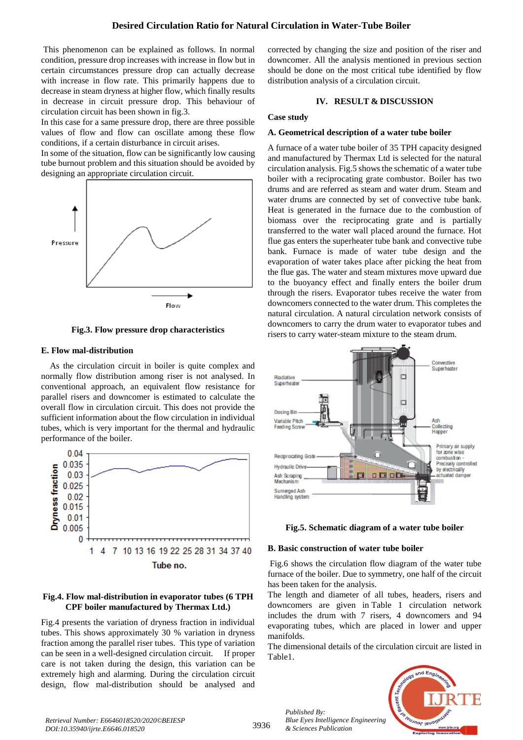This phenomenon can be explained as follows. In normal condition, pressure drop increases with increase in flow but in certain circumstances pressure drop can actually decrease with increase in flow rate. This primarily happens due to decrease in steam dryness at higher flow, which finally results in decrease in circuit pressure drop. This behaviour of circulation circuit has been shown in fig.3.

In this case for a same pressure drop, there are three possible values of flow and flow can oscillate among these flow conditions, if a certain disturbance in circuit arises.

In some of the situation, flow can be significantly low causing tube burnout problem and this situation should be avoided by designing an appropriate circulation circuit.



**Fig.3. Flow pressure drop characteristics**

# **E. Flow mal-distribution**

As the circulation circuit in boiler is quite complex and normally flow distribution among riser is not analysed. In conventional approach, an equivalent flow resistance for parallel risers and downcomer is estimated to calculate the overall flow in circulation circuit. This does not provide the sufficient information about the flow circulation in individual tubes, which is very important for the thermal and hydraulic performance of the boiler.



# **Fig.4. Flow mal-distribution in evaporator tubes (6 TPH CPF boiler manufactured by Thermax Ltd.)**

Fig.4 presents the variation of dryness fraction in individual tubes. This shows approximately 30 % variation in dryness fraction among the parallel riser tubes. This type of variation can be seen in a well-designed circulation circuit. If proper care is not taken during the design, this variation can be extremely high and alarming. During the circulation circuit design, flow mal-distribution should be analysed and corrected by changing the size and position of the riser and downcomer. All the analysis mentioned in previous section should be done on the most critical tube identified by flow distribution analysis of a circulation circuit.

# **IV. RESULT & DISCUSSION**

# **Case study**

# **A. Geometrical description of a water tube boiler**

A furnace of a water tube boiler of 35 TPH capacity designed and manufactured by Thermax Ltd is selected for the natural circulation analysis. Fig.5 shows the schematic of a water tube boiler with a reciprocating grate combustor. Boiler has two drums and are referred as steam and water drum. Steam and water drums are connected by set of convective tube bank. Heat is generated in the furnace due to the combustion of biomass over the reciprocating grate and is partially transferred to the water wall placed around the furnace. Hot flue gas enters the superheater tube bank and convective tube bank. Furnace is made of water tube design and the evaporation of water takes place after picking the heat from the flue gas. The water and steam mixtures move upward due to the buoyancy effect and finally enters the boiler drum through the risers. Evaporator tubes receive the water from downcomers connected to the water drum. This completes the natural circulation. A natural circulation network consists of downcomers to carry the drum water to evaporator tubes and risers to carry water-steam mixture to the steam drum.





# **B. Basic construction of water tube boiler**

Fig.6 shows the circulation flow diagram of the water tube furnace of the boiler. Due to symmetry, one half of the circuit has been taken for the analysis.

The length and diameter of all tubes, headers, risers and downcomers are given in Table 1 circulation network includes the drum with 7 risers, 4 downcomers and 94 evaporating tubes, which are placed in lower and upper manifolds.

The dimensional details of the circulation circuit are listed in Table1.



*Retrieval Number: E6646018520/2020©BEIESP DOI:10.35940/ijrte.E6646.018520*

*Published By: Blue Eyes Intelligence Engineering & Sciences Publication*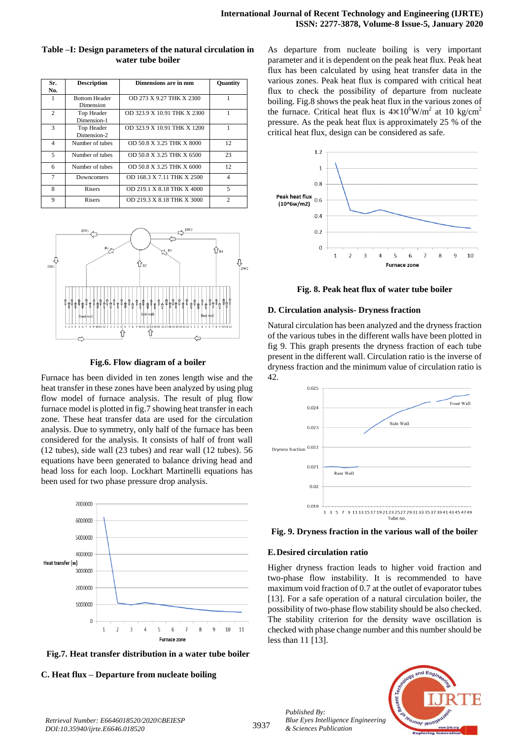| Sr.            | <b>Description</b>                | Dimensions are in mm        | Quantity       |
|----------------|-----------------------------------|-----------------------------|----------------|
| No.            |                                   |                             |                |
| 1              | <b>Bottom Header</b><br>Dimension | OD 273 X 9.27 THK X 2300    |                |
| $\overline{c}$ | Top Header<br>Dimension-1         | OD 323.9 X 10.91 THK X 2300 |                |
| 3              | Top Header<br>Dimension-2         | OD 323.9 X 10.91 THK X 1200 |                |
| 4              | Number of tubes                   | OD 50.8 X 3.25 THK X 8000   | 12             |
| 5              | Number of tubes                   | OD 50.8 X 3.25 THK X 6500   | 23             |
| 6              | Number of tubes                   | OD 50.8 X 3.25 THK X 6000   | 12             |
| $\tau$         | Downcomers                        | OD 168.3 X 7.11 THK X 2500  | $\overline{4}$ |
| 8              | Risers                            | OD 219.1 X 8.18 THK X 4000  | 5              |
| 9              | Risers                            | OD 219.3 X 8.18 THK X 3000  | $\mathcal{D}$  |

# **Table –I: Design parameters of the natural circulation in water tube boiler**



#### **Fig.6. Flow diagram of a boiler**

Furnace has been divided in ten zones length wise and the heat transfer in these zones have been analyzed by using plug flow model of furnace analysis. The result of plug flow furnace model is plotted in fig.7 showing heat transfer in each zone. These heat transfer data are used for the circulation analysis. Due to symmetry, only half of the furnace has been considered for the analysis. It consists of half of front wall (12 tubes), side wall (23 tubes) and rear wall (12 tubes). 56 equations have been generated to balance driving head and head loss for each loop. Lockhart Martinelli equations has been used for two phase pressure drop analysis.



**Fig.7. Heat transfer distribution in a water tube boiler**

**C. Heat flux – Departure from nucleate boiling**

As departure from nucleate boiling is very important parameter and it is dependent on the peak heat flux. Peak heat flux has been calculated by using heat transfer data in the various zones. Peak heat flux is compared with critical heat flux to check the possibility of departure from nucleate boiling. Fig.8 shows the peak heat flux in the various zones of the furnace. Critical heat flux is  $4 \times 10^6$ W/m<sup>2</sup> at 10 kg/cm<sup>2</sup> pressure. As the peak heat flux is approximately 25 % of the critical heat flux, design can be considered as safe.



**Fig. 8. Peak heat flux of water tube boiler**

#### **D. Circulation analysis- Dryness fraction**

Natural circulation has been analyzed and the dryness fraction of the various tubes in the different walls have been plotted in fig 9. This graph presents the dryness fraction of each tube present in the different wall. Circulation ratio is the inverse of dryness fraction and the minimum value of circulation ratio is 42.



**Fig. 9. Dryness fraction in the various wall of the boiler**

## **E.Desired circulation ratio**

*Published By:*

*& Sciences Publication* 

Higher dryness fraction leads to higher void fraction and two-phase flow instability. It is recommended to have maximum void fraction of 0.7 at the outlet of evaporator tubes [13]. For a safe operation of a natural circulation boiler, the possibility of two-phase flow stability should be also checked. The stability criterion for the density wave oscillation is checked with phase change number and this number should be less than 11 [13].

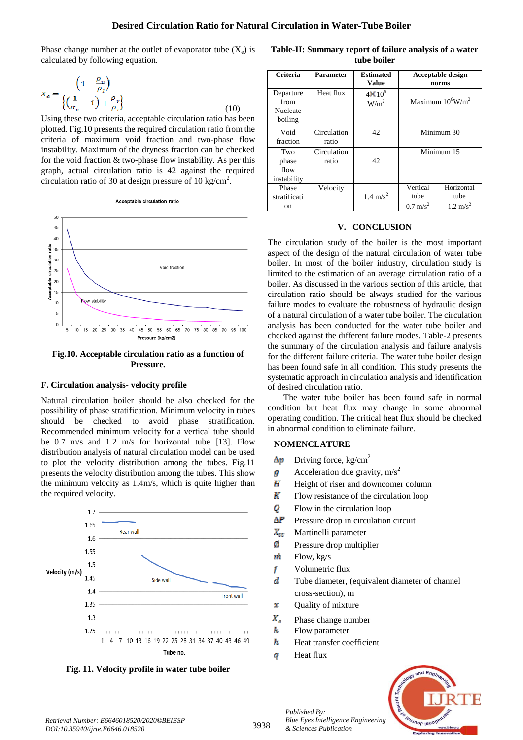Phase change number at the outlet of evaporator tube  $(X_e)$  is calculated by following equation.

$$
X_e = \frac{\left(1 - \frac{\rho_v}{\rho_l}\right)}{\left\{\left(\frac{1}{\alpha_e} - 1\right) + \frac{\rho_v}{\rho_l}\right\}}
$$
\n(10)

Using these two criteria, acceptable circulation ratio has been plotted. Fig.10 presents the required circulation ratio from the criteria of maximum void fraction and two-phase flow instability. Maximum of the dryness fraction can be checked for the void fraction & two-phase flow instability. As per this graph, actual circulation ratio is 42 against the required circulation ratio of 30 at design pressure of 10 kg/cm<sup>2</sup>.





**Fig.10. Acceptable circulation ratio as a function of Pressure.**

#### **F. Circulation analysis- velocity profile**

Natural circulation boiler should be also checked for the possibility of phase stratification. Minimum velocity in tubes should be checked to avoid phase stratification. Recommended minimum velocity for a vertical tube should be 0.7 m/s and 1.2 m/s for horizontal tube [13]. Flow distribution analysis of natural circulation model can be used to plot the velocity distribution among the tubes. Fig.11 presents the velocity distribution among the tubes. This show the minimum velocity as 1.4m/s, which is quite higher than the required velocity.



**Fig. 11. Velocity profile in water tube boiler**

**Table-II: Summary report of failure analysis of a water tube boiler**

| Criteria                                 | Parameter            | <b>Estimated</b><br>Value         |                                         | <b>Acceptable design</b><br>norms         |
|------------------------------------------|----------------------|-----------------------------------|-----------------------------------------|-------------------------------------------|
| Departure<br>from<br>Nucleate<br>boiling | Heat flux            | $4\times10^6$<br>W/m <sup>2</sup> | Maximum $10^6$ W/m <sup>2</sup>         |                                           |
| Void<br>fraction                         | Circulation<br>ratio | 42                                | Minimum 30                              |                                           |
| Two<br>phase<br>flow<br>instability      | Circulation<br>ratio | 42                                | Minimum 15                              |                                           |
| Phase<br>stratificati<br>on              | Velocity             | $1.4 \text{ m/s}^2$               | Vertical<br>tube<br>$0.7 \text{ m/s}^2$ | Horizontal<br>tube<br>$1.2 \text{ m/s}^2$ |

# **V. CONCLUSION**

The circulation study of the boiler is the most important aspect of the design of the natural circulation of water tube boiler. In most of the boiler industry, circulation study is limited to the estimation of an average circulation ratio of a boiler. As discussed in the various section of this article, that circulation ratio should be always studied for the various failure modes to evaluate the robustness of hydraulic design of a natural circulation of a water tube boiler. The circulation analysis has been conducted for the water tube boiler and checked against the different failure modes. Table-2 presents the summary of the circulation analysis and failure analysis for the different failure criteria. The water tube boiler design has been found safe in all condition. This study presents the systematic approach in circulation analysis and identification of desired circulation ratio.

The water tube boiler has been found safe in normal condition but heat flux may change in some abnormal operating condition. The critical heat flux should be checked in abnormal condition to eliminate failure.

# **NOMENCLATURE**

- Driving force,  $kg/cm<sup>2</sup>$  $\Delta p$
- Acceleration due gravity,  $m/s<sup>2</sup>$ g
- Η Height of riser and downcomer column
- $\boldsymbol{K}$ Flow resistance of the circulation loop
- 0 Flow in the circulation loop
- $\Delta P$ Pressure drop in circulation circuit
- $X_{rr}$ Martinelli parameter
- ø Pressure drop multiplier
- $\dot{m}$ Flow, kg/s
- İ Volumetric flux
- $\boldsymbol{d}$ Tube diameter, (equivalent diameter of channel cross-section), m
- Quality of mixture  $\mathbf x$
- $X_{\alpha}$ Phase change number
- k Flow parameter
- $\boldsymbol{h}$ Heat transfer coefficient
- Heat fluxq

*Published By:*

*& Sciences Publication*